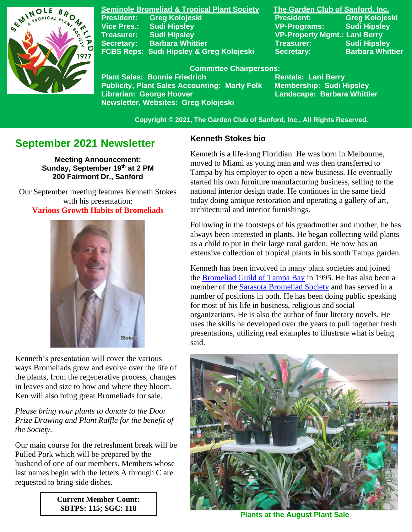

**Seminole Bromeliad & Tropical Plant Society The Garden Club of Sanford, Inc. Vice Pres.: Sudi Hipsley VP-Programs: Sudi Hipsley Treasurer: Sudi Hipsley VP-Property Mgmt.: Lani Berry Secretary:** Barbara Whittier **Network Treasurer:** Sudi Hipsley FCBS Reps: Sudi Hipsley & Greg Kolojeski Secretary: Barbara Whittier

**President: Greg Kolojeski President: Greg Kolojeski** 

 **Committee Chairpersons:**

Plant Sales: Bonnie Friedrich **Nentals: Lani Berry<br>Publicity, Plant Sales Accounting: Marty Folk Membership: Sudi Hipsley Publicity, Plant Sales Accounting: Marty Folk Librarian: George Hoover Landscape: Barbara Whittier Newsletter, Websites: Greg Kolojeski**

 **Copyright © 2021, The Garden Club of Sanford, Inc., All Rights Reserved.**

# **September 2021 Newsletter**

**Meeting Announcement: Sunday, September 19 th at 2 PM 200 Fairmont Dr., Sanford**

 Our September meeting features Kenneth Stokes with his presentation: **Various Growth Habits of Bromeliads**



Kenneth's presentation will cover the various ways Bromeliads grow and evolve over the life of the plants, from the regenerative process, changes in leaves and size to how and where they bloom. Ken will also bring great Bromeliads for sale.

*Please bring your plants to donate to the Door Prize Drawing and Plant Raffle for the benefit of the Society.*

Our main course for the refreshment break will be Pulled Pork which will be prepared by the husband of one of our members. Members whose last names begin with the letters A through C are requested to bring side dishes.

> **Current Member Count: SBTPS: 115; SGC: 118**

### **Kenneth Stokes bio**

Kenneth is a life-long Floridian. He was born in Melbourne, moved to Miami as young man and was then transferred to Tampa by his employer to open a new business. He eventually started his own furniture manufacturing business, selling to the national interior design trade. He continues in the same field today doing antique restoration and operating a gallery of art, architectural and interior furnishings.

Following in the footsteps of his grandmother and mother, he has always been interested in plants. He began collecting wild plants as a child to put in their large rural garden. He now has an extensive collection of tropical plants in his south Tampa garden.

Kenneth has been involved in many plant societies and joined the [Bromeliad Guild of Tampa Bay](http://www.bromeliadguildoftampabay.org/) in 1995. He has also been a member of the [Sarasota Bromeliad Society](https://sarasotabromeliadsociety.org/) and has served in a number of positions in both. He has been doing public speaking for most of his life in business, religious and social organizations. He is also the author of four literary novels. He uses the skills he developed over the years to pull together fresh presentations, utilizing real examples to illustrate what is being said.



**Plants at the August Plant Sale**